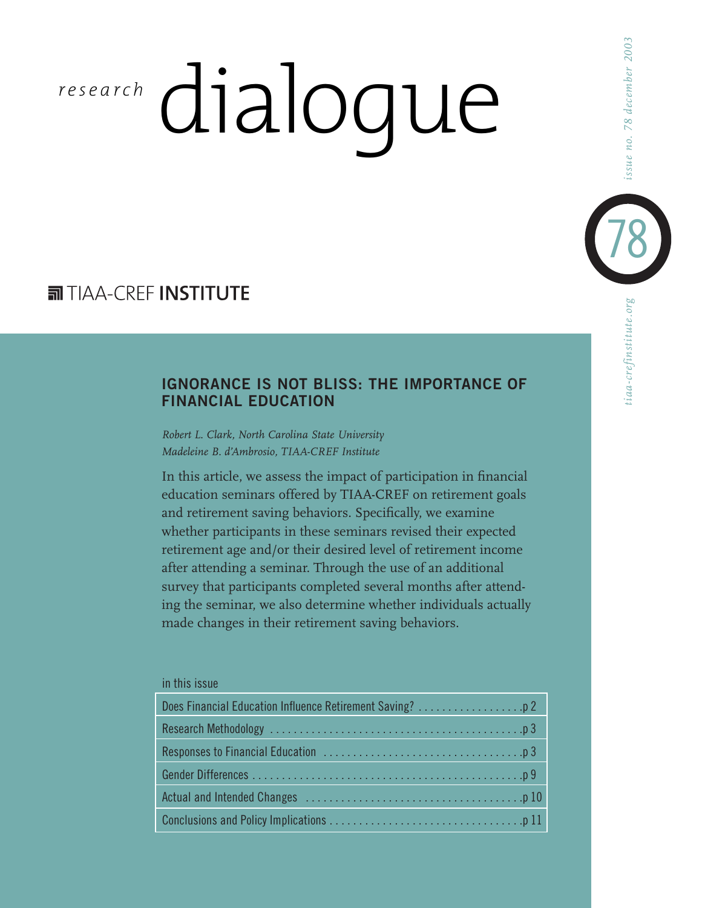# dialogue *r esearch*

# **司TIAA-CREE INSTITUTE**

# **IGNORANCE IS NOT BLISS: THE IMPORTANCE OF FINANCIAL EDUCATION**

*Robert L. Clark, North Carolina State University Madeleine B. d'Ambrosio, TIAA-CREF Institute*

In this article, we assess the impact of participation in financial education seminars offered by TIAA-CREF on retirement goals and retirement saving behaviors. Specifically, we examine whether participants in these seminars revised their expected retirement age and/or their desired level of retirement income after attending a seminar. Through the use of an additional survey that participants completed several months after attending the seminar, we also determine whether individuals actually made changes in their retirement saving behaviors.

#### in this issue

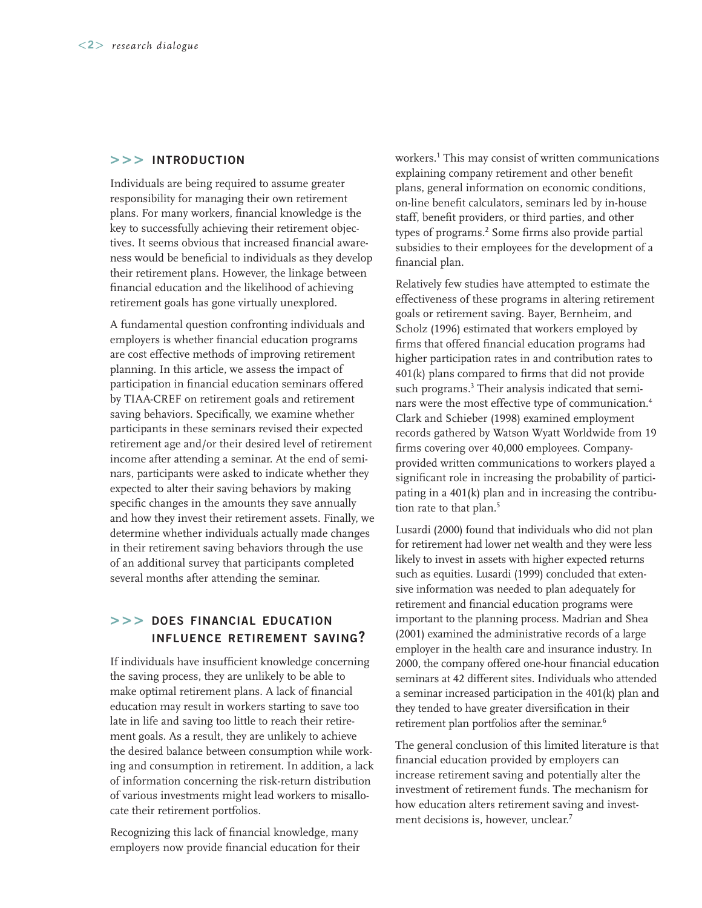#### **>>> INTRODUCTION**

Individuals are being required to assume greater responsibility for managing their own retirement plans. For many workers, financial knowledge is the key to successfully achieving their retirement objectives. It seems obvious that increased financial awareness would be beneficial to individuals as they develop their retirement plans. However, the linkage between financial education and the likelihood of achieving retirement goals has gone virtually unexplored.

A fundamental question confronting individuals and employers is whether financial education programs are cost effective methods of improving retirement planning. In this article, we assess the impact of participation in financial education seminars offered by TIAA-CREF on retirement goals and retirement saving behaviors. Specifically, we examine whether participants in these seminars revised their expected retirement age and/or their desired level of retirement income after attending a seminar. At the end of seminars, participants were asked to indicate whether they expected to alter their saving behaviors by making specific changes in the amounts they save annually and how they invest their retirement assets. Finally, we determine whether individuals actually made changes in their retirement saving behaviors through the use of an additional survey that participants completed several months after attending the seminar.

### **>>> DOES FINANCIAL EDUCATION INFLUENCE RETIREMENT SAVING?**

If individuals have insufficient knowledge concerning the saving process, they are unlikely to be able to make optimal retirement plans. A lack of financial education may result in workers starting to save too late in life and saving too little to reach their retirement goals. As a result, they are unlikely to achieve the desired balance between consumption while working and consumption in retirement. In addition, a lack of information concerning the risk-return distribution of various investments might lead workers to misallocate their retirement portfolios.

Recognizing this lack of financial knowledge, many employers now provide financial education for their

workers.1 This may consist of written communications explaining company retirement and other benefit plans, general information on economic conditions, on-line benefit calculators, seminars led by in-house staff, benefit providers, or third parties, and other types of programs.<sup>2</sup> Some firms also provide partial subsidies to their employees for the development of a financial plan.

Relatively few studies have attempted to estimate the effectiveness of these programs in altering retirement goals or retirement saving. Bayer, Bernheim, and Scholz (1996) estimated that workers employed by firms that offered financial education programs had higher participation rates in and contribution rates to 401(k) plans compared to firms that did not provide such programs.<sup>3</sup> Their analysis indicated that seminars were the most effective type of communication.4 Clark and Schieber (1998) examined employment records gathered by Watson Wyatt Worldwide from 19 firms covering over 40,000 employees. Companyprovided written communications to workers played a significant role in increasing the probability of participating in a 401(k) plan and in increasing the contribution rate to that plan.<sup>5</sup>

Lusardi (2000) found that individuals who did not plan for retirement had lower net wealth and they were less likely to invest in assets with higher expected returns such as equities. Lusardi (1999) concluded that extensive information was needed to plan adequately for retirement and financial education programs were important to the planning process. Madrian and Shea (2001) examined the administrative records of a large employer in the health care and insurance industry. In 2000, the company offered one-hour financial education seminars at 42 different sites. Individuals who attended a seminar increased participation in the 401(k) plan and they tended to have greater diversification in their retirement plan portfolios after the seminar.<sup>6</sup>

The general conclusion of this limited literature is that financial education provided by employers can increase retirement saving and potentially alter the investment of retirement funds. The mechanism for how education alters retirement saving and investment decisions is, however, unclear.<sup>7</sup>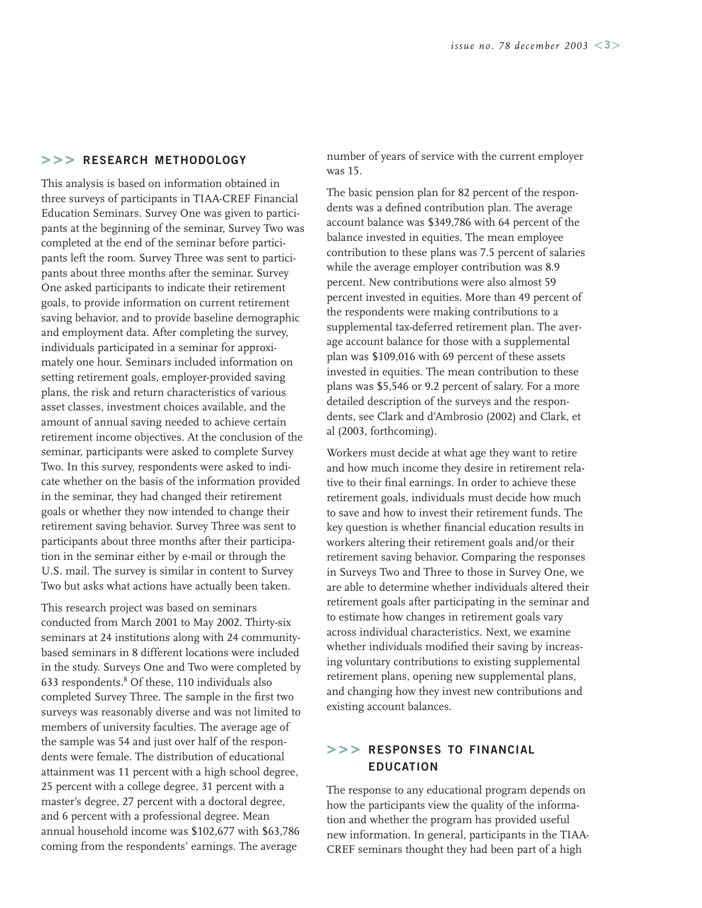#### **>>> RESEARCH METHODOLOGY**

This analysis is based on information obtained in three surveys of participants in TIAA-CREF Financial Education Seminars. Survey One was given to participants at the beginning of the seminar, Survey Two was completed at the end of the seminar before participants left the room. Survey Three was sent to participants about three months after the seminar. Survey One asked participants to indicate their retirement goals, to provide information on current retirement saving behavior, and to provide baseline demographic and employment data. After completing the survey, individuals participated in a seminar for approximately one hour. Seminars included information on setting retirement goals, employer-provided saving plans, the risk and return characteristics of various asset classes, investment choices available, and the amount of annual saving needed to achieve certain retirement income objectives. At the conclusion of the seminar, participants were asked to complete Survey Two. In this survey, respondents were asked to indicate whether on the basis of the information provided in the seminar, they had changed their retirement goals or whether they now intended to change their retirement saving behavior. Survey Three was sent to participants about three months after their participation in the seminar either by e-mail or through the U.S. mail. The survey is similar in content to Survey Two but asks what actions have actually been taken.

This research project was based on seminars conducted from March 2001 to May 2002. Thirty-six seminars at 24 institutions along with 24 communitybased seminars in 8 different locations were included in the study. Surveys One and Two were completed by 633 respondents.8 Of these, 110 individuals also completed Survey Three. The sample in the first two surveys was reasonably diverse and was not limited to members of university faculties. The average age of the sample was 54 and just over half of the respondents were female. The distribution of educational attainment was 11 percent with a high school degree, 25 percent with a college degree, 31 percent with a master's degree, 27 percent with a doctoral degree, and 6 percent with a professional degree. Mean annual household income was \$102,677 with \$63,786 coming from the respondents' earnings. The average

number of years of service with the current employer was 15.

The basic pension plan for 82 percent of the respondents was a defined contribution plan. The average account balance was \$349,786 with 64 percent of the balance invested in equities. The mean employee contribution to these plans was 7.5 percent of salaries while the average employer contribution was 8.9 percent. New contributions were also almost 59 percent invested in equities. More than 49 percent of the respondents were making contributions to a supplemental tax-deferred retirement plan. The average account balance for those with a supplemental plan was \$109,016 with 69 percent of these assets invested in equities. The mean contribution to these plans was \$5,546 or 9.2 percent of salary. For a more detailed description of the surveys and the respondents, see Clark and d'Ambrosio (2002) and Clark, et al (2003, forthcoming).

Workers must decide at what age they want to retire and how much income they desire in retirement relative to their final earnings. In order to achieve these retirement goals, individuals must decide how much to save and how to invest their retirement funds. The key question is whether financial education results in workers altering their retirement goals and/or their retirement saving behavior. Comparing the responses in Surveys Two and Three to those in Survey One, we are able to determine whether individuals altered their retirement goals after participating in the seminar and to estimate how changes in retirement goals vary across individual characteristics. Next, we examine whether individuals modified their saving by increasing voluntary contributions to existing supplemental retirement plans, opening new supplemental plans, and changing how they invest new contributions and existing account balances.

## **>>> RESPONSES TO FINANCIAL EDUCATION**

The response to any educational program depends on how the participants view the quality of the information and whether the program has provided useful new information. In general, participants in the TIAA-CREF seminars thought they had been part of a high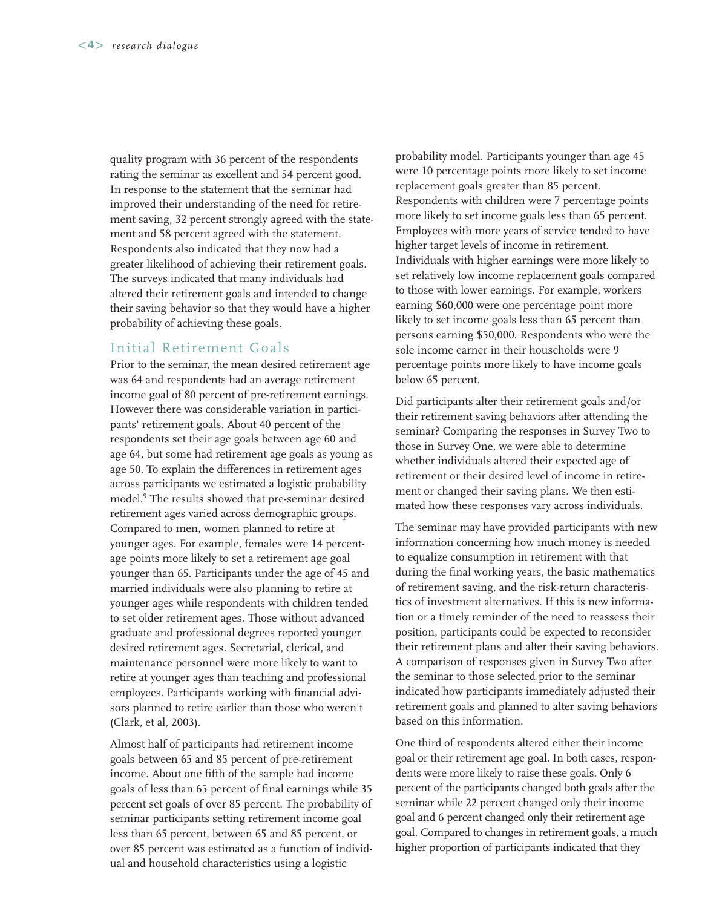quality program with 36 percent of the respondents rating the seminar as excellent and 54 percent good. In response to the statement that the seminar had improved their understanding of the need for retirement saving, 32 percent strongly agreed with the statement and 58 percent agreed with the statement. Respondents also indicated that they now had a greater likelihood of achieving their retirement goals. The surveys indicated that many individuals had altered their retirement goals and intended to change their saving behavior so that they would have a higher probability of achieving these goals.

#### Initial Retirement Goals

Prior to the seminar, the mean desired retirement age was 64 and respondents had an average retirement income goal of 80 percent of pre-retirement earnings. However there was considerable variation in participants' retirement goals. About 40 percent of the respondents set their age goals between age 60 and age 64, but some had retirement age goals as young as age 50. To explain the differences in retirement ages across participants we estimated a logistic probability model.9 The results showed that pre-seminar desired retirement ages varied across demographic groups. Compared to men, women planned to retire at younger ages. For example, females were 14 percentage points more likely to set a retirement age goal younger than 65. Participants under the age of 45 and married individuals were also planning to retire at younger ages while respondents with children tended to set older retirement ages. Those without advanced graduate and professional degrees reported younger desired retirement ages. Secretarial, clerical, and maintenance personnel were more likely to want to retire at younger ages than teaching and professional employees. Participants working with financial advisors planned to retire earlier than those who weren't (Clark, et al, 2003).

Almost half of participants had retirement income goals between 65 and 85 percent of pre-retirement income. About one fifth of the sample had income goals of less than 65 percent of final earnings while 35 percent set goals of over 85 percent. The probability of seminar participants setting retirement income goal less than 65 percent, between 65 and 85 percent, or over 85 percent was estimated as a function of individual and household characteristics using a logistic

probability model. Participants younger than age 45 were 10 percentage points more likely to set income replacement goals greater than 85 percent. Respondents with children were 7 percentage points more likely to set income goals less than 65 percent. Employees with more years of service tended to have higher target levels of income in retirement. Individuals with higher earnings were more likely to set relatively low income replacement goals compared to those with lower earnings. For example, workers earning \$60,000 were one percentage point more likely to set income goals less than 65 percent than persons earning \$50,000. Respondents who were the sole income earner in their households were 9 percentage points more likely to have income goals below 65 percent.

Did participants alter their retirement goals and/or their retirement saving behaviors after attending the seminar? Comparing the responses in Survey Two to those in Survey One, we were able to determine whether individuals altered their expected age of retirement or their desired level of income in retirement or changed their saving plans. We then estimated how these responses vary across individuals.

The seminar may have provided participants with new information concerning how much money is needed to equalize consumption in retirement with that during the final working years, the basic mathematics of retirement saving, and the risk-return characteristics of investment alternatives. If this is new information or a timely reminder of the need to reassess their position, participants could be expected to reconsider their retirement plans and alter their saving behaviors. A comparison of responses given in Survey Two after the seminar to those selected prior to the seminar indicated how participants immediately adjusted their retirement goals and planned to alter saving behaviors based on this information.

One third of respondents altered either their income goal or their retirement age goal. In both cases, respondents were more likely to raise these goals. Only 6 percent of the participants changed both goals after the seminar while 22 percent changed only their income goal and 6 percent changed only their retirement age goal. Compared to changes in retirement goals, a much higher proportion of participants indicated that they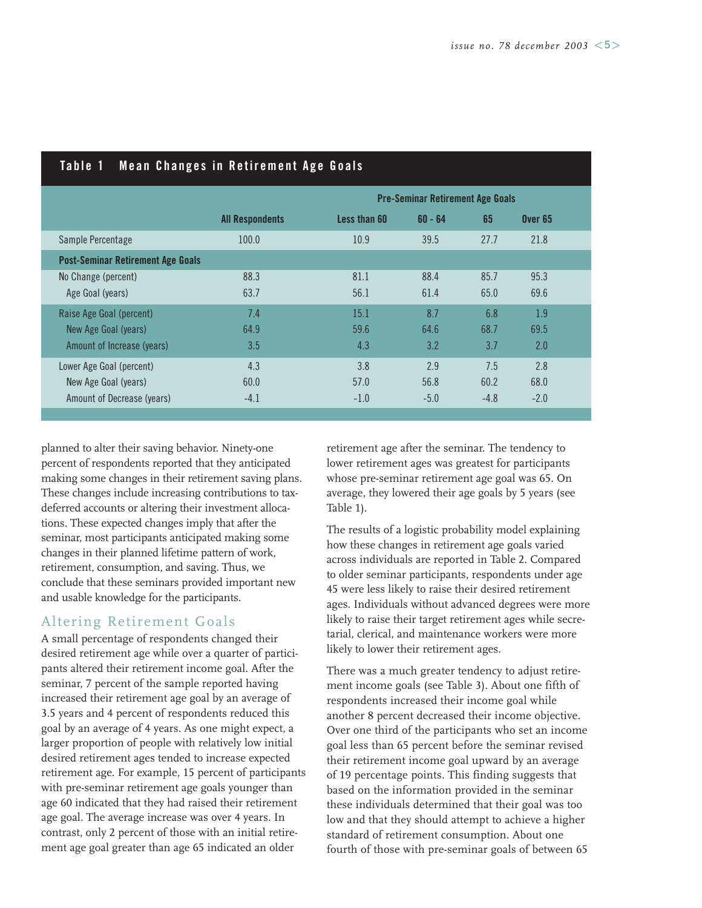| IANIG I<br><b>MEAN CHANGES IN RELITEMENT AGE QUAIS</b> |                        |                                         |           |        |                    |  |
|--------------------------------------------------------|------------------------|-----------------------------------------|-----------|--------|--------------------|--|
|                                                        |                        | <b>Pre-Seminar Retirement Age Goals</b> |           |        |                    |  |
|                                                        | <b>All Respondents</b> | Less than 60                            | $60 - 64$ | 65     | Over <sub>65</sub> |  |
| Sample Percentage                                      | 100.0                  | 10.9                                    | 39.5      | 27.7   | 21.8               |  |
| <b>Post-Seminar Retirement Age Goals</b>               |                        |                                         |           |        |                    |  |
| No Change (percent)                                    | 88.3                   | 81.1                                    | 88.4      | 85.7   | 95.3               |  |
| Age Goal (years)                                       | 63.7                   | 56.1                                    | 61.4      | 65.0   | 69.6               |  |
| Raise Age Goal (percent)                               | 7.4                    | 15.1                                    | 8.7       | 6.8    | 1.9                |  |
| New Age Goal (years)                                   | 64.9                   | 59.6                                    | 64.6      | 68.7   | 69.5               |  |
| Amount of Increase (years)                             | 3.5                    | 4.3                                     | 3.2       | 3.7    | 2.0                |  |
| Lower Age Goal (percent)                               | 4.3                    | 3.8                                     | 2.9       | 7.5    | 2.8                |  |
| New Age Goal (years)                                   | 60.0                   | 57.0                                    | 56.8      | 60.2   | 68.0               |  |
| Amount of Decrease (years)                             | $-4.1$                 | $-1.0$                                  | $-5.0$    | $-4.8$ | $-2.0$             |  |

## **Table 1 Mean Changes in Retirement Age Goals**

planned to alter their saving behavior. Ninety-one percent of respondents reported that they anticipated making some changes in their retirement saving plans. These changes include increasing contributions to taxdeferred accounts or altering their investment allocations. These expected changes imply that after the seminar, most participants anticipated making some changes in their planned lifetime pattern of work, retirement, consumption, and saving. Thus, we conclude that these seminars provided important new and usable knowledge for the participants.

# Altering Retirement Goals

A small percentage of respondents changed their desired retirement age while over a quarter of participants altered their retirement income goal. After the seminar, 7 percent of the sample reported having increased their retirement age goal by an average of 3.5 years and 4 percent of respondents reduced this goal by an average of 4 years. As one might expect, a larger proportion of people with relatively low initial desired retirement ages tended to increase expected retirement age. For example, 15 percent of participants with pre-seminar retirement age goals younger than age 60 indicated that they had raised their retirement age goal. The average increase was over 4 years. In contrast, only 2 percent of those with an initial retirement age goal greater than age 65 indicated an older

retirement age after the seminar. The tendency to lower retirement ages was greatest for participants whose pre-seminar retirement age goal was 65. On average, they lowered their age goals by 5 years (see Table 1).

The results of a logistic probability model explaining how these changes in retirement age goals varied across individuals are reported in Table 2. Compared to older seminar participants, respondents under age 45 were less likely to raise their desired retirement ages. Individuals without advanced degrees were more likely to raise their target retirement ages while secretarial, clerical, and maintenance workers were more likely to lower their retirement ages.

There was a much greater tendency to adjust retirement income goals (see Table 3). About one fifth of respondents increased their income goal while another 8 percent decreased their income objective. Over one third of the participants who set an income goal less than 65 percent before the seminar revised their retirement income goal upward by an average of 19 percentage points. This finding suggests that based on the information provided in the seminar these individuals determined that their goal was too low and that they should attempt to achieve a higher standard of retirement consumption. About one fourth of those with pre-seminar goals of between 65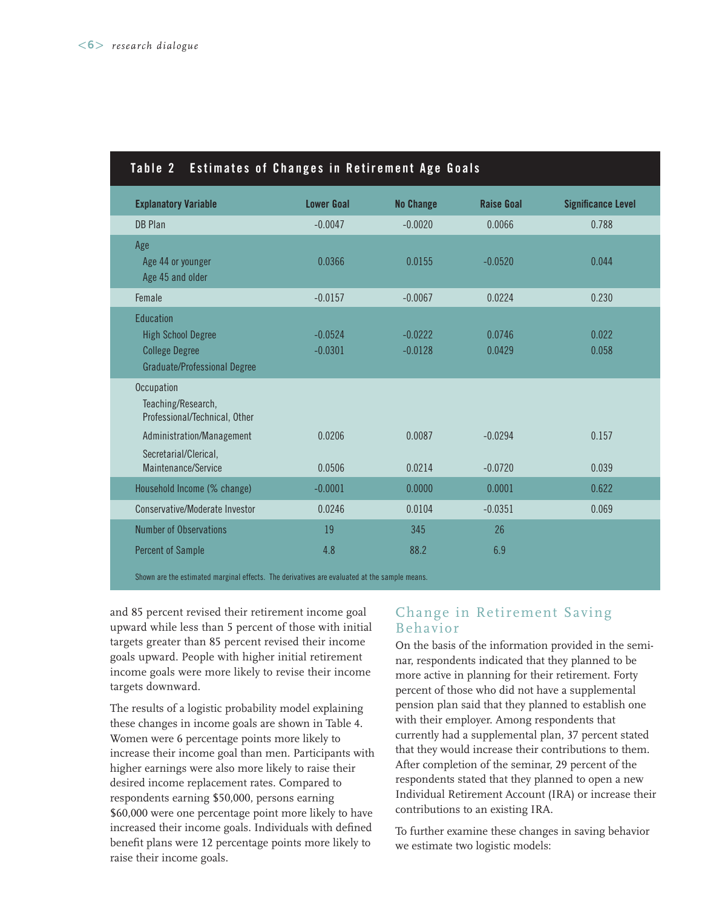| Estimates of Changes in Retirement Age Goals<br>Table 2                                                |                        |                        |                   |                           |
|--------------------------------------------------------------------------------------------------------|------------------------|------------------------|-------------------|---------------------------|
| <b>Explanatory Variable</b>                                                                            | <b>Lower Goal</b>      | <b>No Change</b>       | <b>Raise Goal</b> | <b>Significance Level</b> |
| <b>DB Plan</b>                                                                                         | $-0.0047$              | $-0.0020$              | 0.0066            | 0.788                     |
| Age<br>Age 44 or younger<br>Age 45 and older                                                           | 0.0366                 | 0.0155                 | $-0.0520$         | 0.044                     |
| Female                                                                                                 | $-0.0157$              | $-0.0067$              | 0.0224            | 0.230                     |
| Education<br><b>High School Degree</b><br><b>College Degree</b><br><b>Graduate/Professional Degree</b> | $-0.0524$<br>$-0.0301$ | $-0.0222$<br>$-0.0128$ | 0.0746<br>0.0429  | 0.022<br>0.058            |
| Occupation<br>Teaching/Research,<br>Professional/Technical, Other                                      |                        |                        |                   |                           |
| Administration/Management                                                                              | 0.0206                 | 0.0087                 | $-0.0294$         | 0.157                     |
| Secretarial/Clerical,<br>Maintenance/Service                                                           | 0.0506                 | 0.0214                 | $-0.0720$         | 0.039                     |
| Household Income (% change)                                                                            | $-0.0001$              | 0.0000                 | 0.0001            | 0.622                     |
| Conservative/Moderate Investor                                                                         | 0.0246                 | 0.0104                 | $-0.0351$         | 0.069                     |
| <b>Number of Observations</b>                                                                          | 19                     | 345                    | 26                |                           |
| <b>Percent of Sample</b>                                                                               | 4.8                    | 88.2                   | 6.9               |                           |
|                                                                                                        |                        |                        |                   |                           |

Shown are the estimated marginal effects. The derivatives are evaluated at the sample means.

and 85 percent revised their retirement income goal upward while less than 5 percent of those with initial targets greater than 85 percent revised their income goals upward. People with higher initial retirement income goals were more likely to revise their income targets downward.

The results of a logistic probability model explaining these changes in income goals are shown in Table 4. Women were 6 percentage points more likely to increase their income goal than men. Participants with higher earnings were also more likely to raise their desired income replacement rates. Compared to respondents earning \$50,000, persons earning \$60,000 were one percentage point more likely to have increased their income goals. Individuals with defined benefit plans were 12 percentage points more likely to raise their income goals.

# Change in Retirement Saving Behavior

On the basis of the information provided in the seminar, respondents indicated that they planned to be more active in planning for their retirement. Forty percent of those who did not have a supplemental pension plan said that they planned to establish one with their employer. Among respondents that currently had a supplemental plan, 37 percent stated that they would increase their contributions to them. After completion of the seminar, 29 percent of the respondents stated that they planned to open a new Individual Retirement Account (IRA) or increase their contributions to an existing IRA.

To further examine these changes in saving behavior we estimate two logistic models: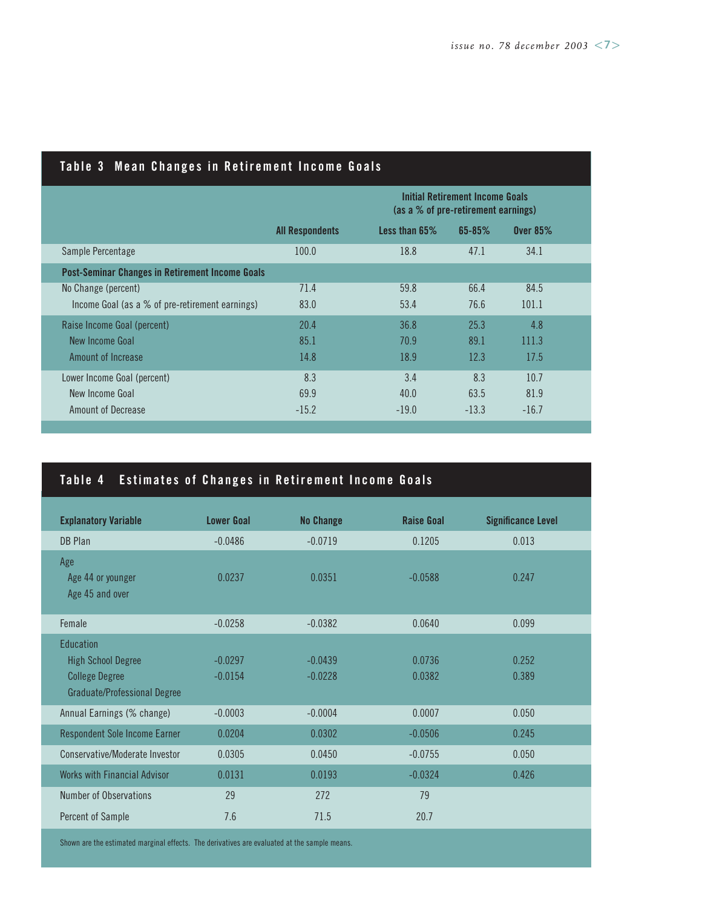| Table 3  Mean Changes in Retirement Income Goals       |                        |                                                                               |            |                 |  |
|--------------------------------------------------------|------------------------|-------------------------------------------------------------------------------|------------|-----------------|--|
|                                                        |                        | <b>Initial Retirement Income Goals</b><br>(as a % of pre-retirement earnings) |            |                 |  |
|                                                        | <b>All Respondents</b> | Less than $65\%$                                                              | $65 - 85%$ | <b>Over 85%</b> |  |
| Sample Percentage                                      | 100.0                  | 18.8                                                                          | 47.1       | 34.1            |  |
| <b>Post-Seminar Changes in Retirement Income Goals</b> |                        |                                                                               |            |                 |  |
| No Change (percent)                                    | 71.4                   | 59.8                                                                          | 66.4       | 84.5            |  |
| Income Goal (as a % of pre-retirement earnings)        | 83.0                   | 53.4                                                                          | 76.6       | 101.1           |  |
| Raise Income Goal (percent)                            | 20.4                   | 36.8                                                                          | 25.3       | 4.8             |  |
| New Income Goal                                        | 85.1                   | 70.9                                                                          | 89.1       | 111.3           |  |
| Amount of Increase                                     | 14.8                   | 18.9                                                                          | 12.3       | 17.5            |  |
| Lower Income Goal (percent)                            | 8.3                    | 3.4                                                                           | 8.3        | 10.7            |  |
| New Income Goal                                        | 69.9                   | 40.0                                                                          | 63.5       | 81.9            |  |
| <b>Amount of Decrease</b>                              | $-15.2$                | $-19.0$                                                                       | $-13.3$    | $-16.7$         |  |

## **Table 3 Mean Changes in Retirement Income Goals**

# **Table 4 Estimates of Changes in Retirement Income Goals**

| <b>Explanatory Variable</b>                                                                                   | <b>Lower Goal</b>      | <b>No Change</b>       | <b>Raise Goal</b> | <b>Significance Level</b> |
|---------------------------------------------------------------------------------------------------------------|------------------------|------------------------|-------------------|---------------------------|
| DB Plan                                                                                                       | $-0.0486$              | $-0.0719$              | 0.1205            | 0.013                     |
| Age<br>Age 44 or younger<br>Age 45 and over                                                                   | 0.0237                 | 0.0351                 | $-0.0588$         | 0.247                     |
| Female                                                                                                        | $-0.0258$              | $-0.0382$              | 0.0640            | 0.099                     |
| <b>Education</b><br><b>High School Degree</b><br><b>College Degree</b><br><b>Graduate/Professional Degree</b> | $-0.0297$<br>$-0.0154$ | $-0.0439$<br>$-0.0228$ | 0.0736<br>0.0382  | 0.252<br>0.389            |
| Annual Earnings (% change)                                                                                    | $-0.0003$              | $-0.0004$              | 0.0007            | 0.050                     |
| <b>Respondent Sole Income Earner</b>                                                                          | 0.0204                 | 0.0302                 | $-0.0506$         | 0.245                     |
| Conservative/Moderate Investor                                                                                | 0.0305                 | 0.0450                 | $-0.0755$         | 0.050                     |
| <b>Works with Financial Advisor</b>                                                                           | 0.0131                 | 0.0193                 | $-0.0324$         | 0.426                     |
| Number of Observations                                                                                        | 29                     | 272                    | 79                |                           |
| Percent of Sample                                                                                             | 7.6                    | 71.5                   | 20.7              |                           |

Shown are the estimated marginal effects. The derivatives are evaluated at the sample means.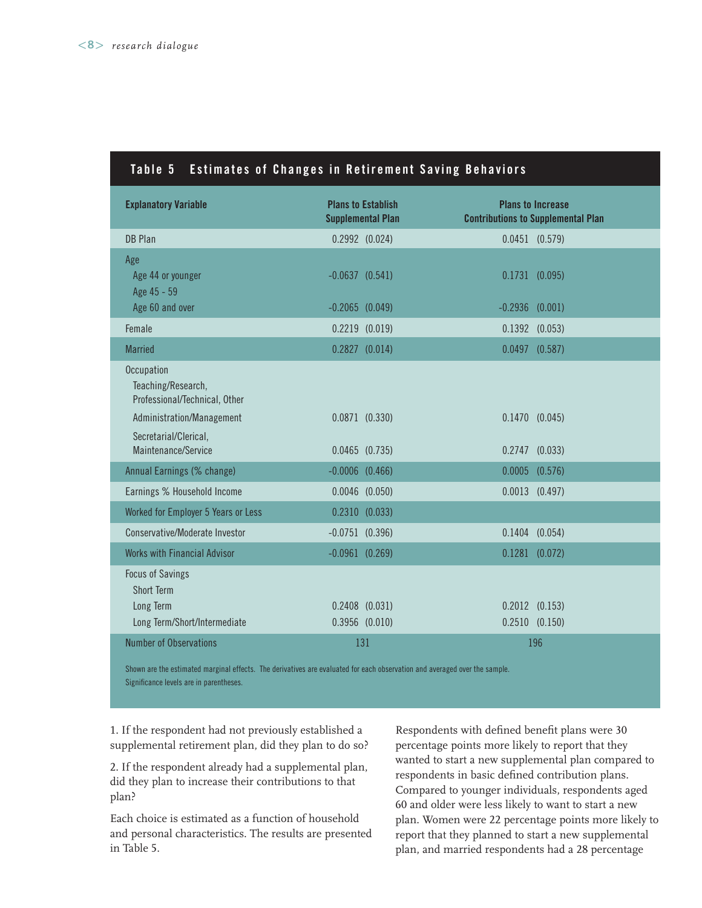# **Table 5 Estimates of Changes in Retirement Saving Behaviors**

| <b>Explanatory Variable</b>                                               | <b>Plans to Establish</b><br><b>Supplemental Plan</b> | <b>Plans to Increase</b><br><b>Contributions to Supplemental Plan</b> |
|---------------------------------------------------------------------------|-------------------------------------------------------|-----------------------------------------------------------------------|
| <b>DB Plan</b>                                                            | $0.2992$ $(0.024)$                                    | $0.0451$ $(0.579)$                                                    |
| Age<br>Age 44 or younger<br>Age 45 - 59                                   | $-0.0637$ $(0.541)$                                   | $0.1731$ $(0.095)$                                                    |
| Age 60 and over                                                           | $-0.2065$ $(0.049)$                                   | $-0.2936$ $(0.001)$                                                   |
| Female                                                                    | $0.2219$ $(0.019)$                                    | $0.1392$ $(0.053)$                                                    |
| <b>Married</b>                                                            | $0.2827$ $(0.014)$                                    | $0.0497$ $(0.587)$                                                    |
| Occupation<br>Teaching/Research,<br>Professional/Technical, Other         |                                                       |                                                                       |
| Administration/Management<br>Secretarial/Clerical,<br>Maintenance/Service | $0.0871$ $(0.330)$<br>$0.0465$ $(0.735)$              | $0.1470$ $(0.045)$<br>$0.2747$ $(0.033)$                              |
| Annual Earnings (% change)                                                | $-0.0006$ $(0.466)$                                   | $0.0005$ $(0.576)$                                                    |
| Earnings % Household Income                                               | $0.0046$ (0.050)                                      | $0.0013$ $(0.497)$                                                    |
| Worked for Employer 5 Years or Less                                       | $0.2310$ $(0.033)$                                    |                                                                       |
| Conservative/Moderate Investor                                            | $-0.0751$ (0.396)                                     | $0.1404$ $(0.054)$                                                    |
| Works with Financial Advisor                                              | $-0.0961$ $(0.269)$                                   | $0.1281$ $(0.072)$                                                    |
| <b>Focus of Savings</b><br><b>Short Term</b>                              |                                                       |                                                                       |
| Long Term                                                                 | $0.2408$ $(0.031)$                                    | $0.2012$ $(0.153)$                                                    |
| Long Term/Short/Intermediate                                              | $0.3956$ $(0.010)$                                    | $0.2510$ $(0.150)$                                                    |
| Number of Observations                                                    | 131                                                   | 196                                                                   |

Shown are the estimated marginal effects. The derivatives are evaluated for each observation and averaged over the sample. Significance levels are in parentheses.

1. If the respondent had not previously established a supplemental retirement plan, did they plan to do so?

2. If the respondent already had a supplemental plan, did they plan to increase their contributions to that plan?

Each choice is estimated as a function of household and personal characteristics. The results are presented in Table 5.

Respondents with defined benefit plans were 30 percentage points more likely to report that they wanted to start a new supplemental plan compared to respondents in basic defined contribution plans. Compared to younger individuals, respondents aged 60 and older were less likely to want to start a new plan. Women were 22 percentage points more likely to report that they planned to start a new supplemental plan, and married respondents had a 28 percentage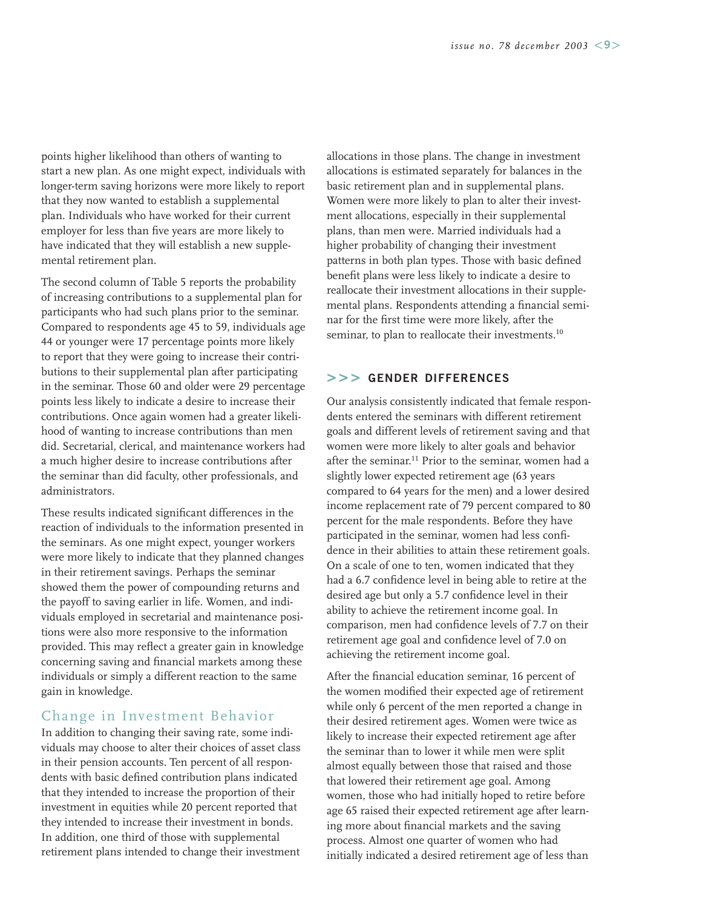points higher likelihood than others of wanting to start a new plan. As one might expect, individuals with longer-term saving horizons were more likely to report that they now wanted to establish a supplemental plan. Individuals who have worked for their current employer for less than five years are more likely to have indicated that they will establish a new supplemental retirement plan.

The second column of Table 5 reports the probability of increasing contributions to a supplemental plan for participants who had such plans prior to the seminar. Compared to respondents age 45 to 59, individuals age 44 or younger were 17 percentage points more likely to report that they were going to increase their contributions to their supplemental plan after participating in the seminar. Those 60 and older were 29 percentage points less likely to indicate a desire to increase their contributions. Once again women had a greater likelihood of wanting to increase contributions than men did. Secretarial, clerical, and maintenance workers had a much higher desire to increase contributions after the seminar than did faculty, other professionals, and administrators.

These results indicated significant differences in the reaction of individuals to the information presented in the seminars. As one might expect, younger workers were more likely to indicate that they planned changes in their retirement savings. Perhaps the seminar showed them the power of compounding returns and the payoff to saving earlier in life. Women, and individuals employed in secretarial and maintenance positions were also more responsive to the information provided. This may reflect a greater gain in knowledge concerning saving and financial markets among these individuals or simply a different reaction to the same gain in knowledge.

## Change in Investment Behavior

In addition to changing their saving rate, some individuals may choose to alter their choices of asset class in their pension accounts. Ten percent of all respondents with basic defined contribution plans indicated that they intended to increase the proportion of their investment in equities while 20 percent reported that they intended to increase their investment in bonds. In addition, one third of those with supplemental retirement plans intended to change their investment allocations in those plans. The change in investment allocations is estimated separately for balances in the basic retirement plan and in supplemental plans. Women were more likely to plan to alter their investment allocations, especially in their supplemental plans, than men were. Married individuals had a higher probability of changing their investment patterns in both plan types. Those with basic defined benefit plans were less likely to indicate a desire to reallocate their investment allocations in their supplemental plans. Respondents attending a financial seminar for the first time were more likely, after the seminar, to plan to reallocate their investments.<sup>10</sup>

#### **>>> GENDER DIFFERENCES**

Our analysis consistently indicated that female respondents entered the seminars with different retirement goals and different levels of retirement saving and that women were more likely to alter goals and behavior after the seminar.<sup>11</sup> Prior to the seminar, women had a slightly lower expected retirement age (63 years compared to 64 years for the men) and a lower desired income replacement rate of 79 percent compared to 80 percent for the male respondents. Before they have participated in the seminar, women had less confidence in their abilities to attain these retirement goals. On a scale of one to ten, women indicated that they had a 6.7 confidence level in being able to retire at the desired age but only a 5.7 confidence level in their ability to achieve the retirement income goal. In comparison, men had confidence levels of 7.7 on their retirement age goal and confidence level of 7.0 on achieving the retirement income goal.

After the financial education seminar, 16 percent of the women modified their expected age of retirement while only 6 percent of the men reported a change in their desired retirement ages. Women were twice as likely to increase their expected retirement age after the seminar than to lower it while men were split almost equally between those that raised and those that lowered their retirement age goal. Among women, those who had initially hoped to retire before age 65 raised their expected retirement age after learning more about financial markets and the saving process. Almost one quarter of women who had initially indicated a desired retirement age of less than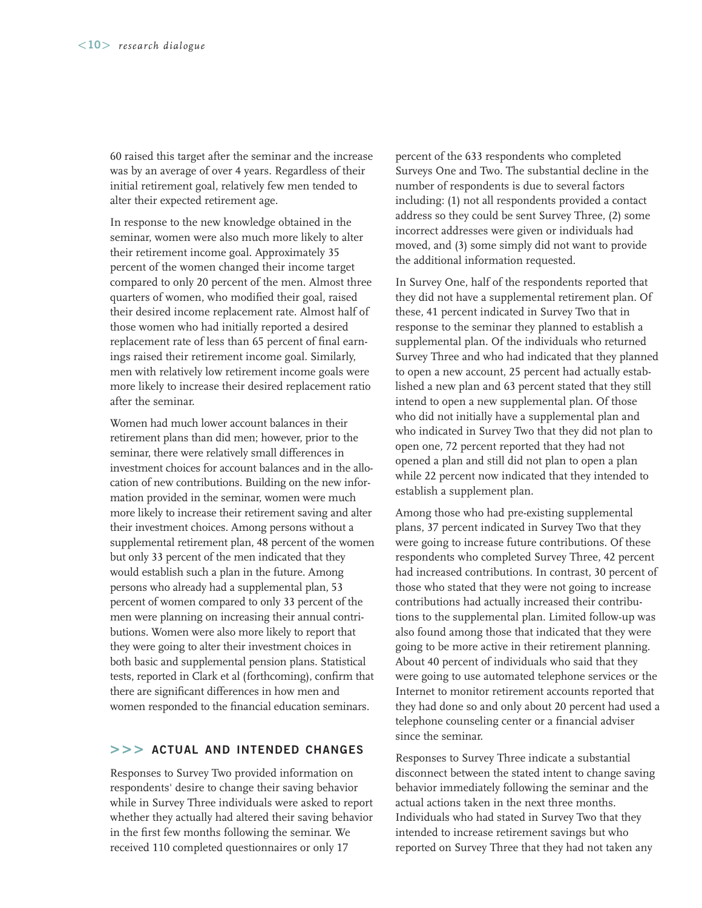60 raised this target after the seminar and the increase was by an average of over 4 years. Regardless of their initial retirement goal, relatively few men tended to alter their expected retirement age.

In response to the new knowledge obtained in the seminar, women were also much more likely to alter their retirement income goal. Approximately 35 percent of the women changed their income target compared to only 20 percent of the men. Almost three quarters of women, who modified their goal, raised their desired income replacement rate. Almost half of those women who had initially reported a desired replacement rate of less than 65 percent of final earnings raised their retirement income goal. Similarly, men with relatively low retirement income goals were more likely to increase their desired replacement ratio after the seminar.

Women had much lower account balances in their retirement plans than did men; however, prior to the seminar, there were relatively small differences in investment choices for account balances and in the allocation of new contributions. Building on the new information provided in the seminar, women were much more likely to increase their retirement saving and alter their investment choices. Among persons without a supplemental retirement plan, 48 percent of the women but only 33 percent of the men indicated that they would establish such a plan in the future. Among persons who already had a supplemental plan, 53 percent of women compared to only 33 percent of the men were planning on increasing their annual contributions. Women were also more likely to report that they were going to alter their investment choices in both basic and supplemental pension plans. Statistical tests, reported in Clark et al (forthcoming), confirm that there are significant differences in how men and women responded to the financial education seminars.

#### **>>> ACTUAL AND INTENDED CHANGES**

Responses to Survey Two provided information on respondents' desire to change their saving behavior while in Survey Three individuals were asked to report whether they actually had altered their saving behavior in the first few months following the seminar. We received 110 completed questionnaires or only 17

percent of the 633 respondents who completed Surveys One and Two. The substantial decline in the number of respondents is due to several factors including: (1) not all respondents provided a contact address so they could be sent Survey Three, (2) some incorrect addresses were given or individuals had moved, and (3) some simply did not want to provide the additional information requested.

In Survey One, half of the respondents reported that they did not have a supplemental retirement plan. Of these, 41 percent indicated in Survey Two that in response to the seminar they planned to establish a supplemental plan. Of the individuals who returned Survey Three and who had indicated that they planned to open a new account, 25 percent had actually established a new plan and 63 percent stated that they still intend to open a new supplemental plan. Of those who did not initially have a supplemental plan and who indicated in Survey Two that they did not plan to open one, 72 percent reported that they had not opened a plan and still did not plan to open a plan while 22 percent now indicated that they intended to establish a supplement plan.

Among those who had pre-existing supplemental plans, 37 percent indicated in Survey Two that they were going to increase future contributions. Of these respondents who completed Survey Three, 42 percent had increased contributions. In contrast, 30 percent of those who stated that they were not going to increase contributions had actually increased their contributions to the supplemental plan. Limited follow-up was also found among those that indicated that they were going to be more active in their retirement planning. About 40 percent of individuals who said that they were going to use automated telephone services or the Internet to monitor retirement accounts reported that they had done so and only about 20 percent had used a telephone counseling center or a financial adviser since the seminar.

Responses to Survey Three indicate a substantial disconnect between the stated intent to change saving behavior immediately following the seminar and the actual actions taken in the next three months. Individuals who had stated in Survey Two that they intended to increase retirement savings but who reported on Survey Three that they had not taken any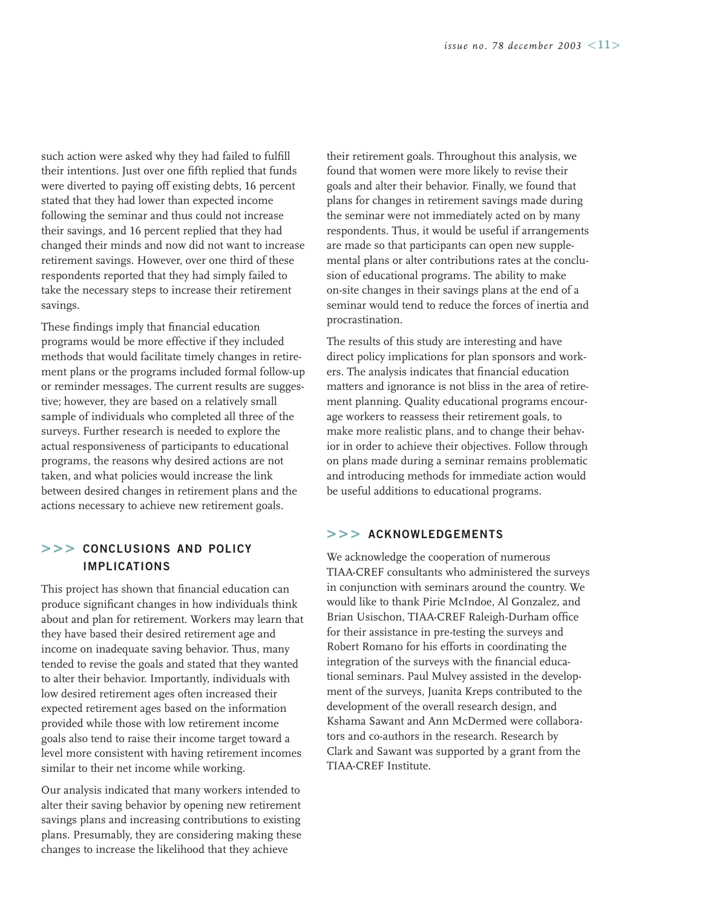such action were asked why they had failed to fulfill their intentions. Just over one fifth replied that funds were diverted to paying off existing debts, 16 percent stated that they had lower than expected income following the seminar and thus could not increase their savings, and 16 percent replied that they had changed their minds and now did not want to increase retirement savings. However, over one third of these respondents reported that they had simply failed to take the necessary steps to increase their retirement savings.

These findings imply that financial education programs would be more effective if they included methods that would facilitate timely changes in retirement plans or the programs included formal follow-up or reminder messages. The current results are suggestive; however, they are based on a relatively small sample of individuals who completed all three of the surveys. Further research is needed to explore the actual responsiveness of participants to educational programs, the reasons why desired actions are not taken, and what policies would increase the link between desired changes in retirement plans and the actions necessary to achieve new retirement goals.

#### **>>> CONCLUSIONS AND POLICY IMPLICATIONS**

This project has shown that financial education can produce significant changes in how individuals think about and plan for retirement. Workers may learn that they have based their desired retirement age and income on inadequate saving behavior. Thus, many tended to revise the goals and stated that they wanted to alter their behavior. Importantly, individuals with low desired retirement ages often increased their expected retirement ages based on the information provided while those with low retirement income goals also tend to raise their income target toward a level more consistent with having retirement incomes similar to their net income while working.

Our analysis indicated that many workers intended to alter their saving behavior by opening new retirement savings plans and increasing contributions to existing plans. Presumably, they are considering making these changes to increase the likelihood that they achieve

their retirement goals. Throughout this analysis, we found that women were more likely to revise their goals and alter their behavior. Finally, we found that plans for changes in retirement savings made during the seminar were not immediately acted on by many respondents. Thus, it would be useful if arrangements are made so that participants can open new supplemental plans or alter contributions rates at the conclusion of educational programs. The ability to make on-site changes in their savings plans at the end of a seminar would tend to reduce the forces of inertia and procrastination.

The results of this study are interesting and have direct policy implications for plan sponsors and workers. The analysis indicates that financial education matters and ignorance is not bliss in the area of retirement planning. Quality educational programs encourage workers to reassess their retirement goals, to make more realistic plans, and to change their behavior in order to achieve their objectives. Follow through on plans made during a seminar remains problematic and introducing methods for immediate action would be useful additions to educational programs.

#### **>>> ACKNOWLEDGEMENTS**

We acknowledge the cooperation of numerous TIAA-CREF consultants who administered the surveys in conjunction with seminars around the country. We would like to thank Pirie McIndoe, Al Gonzalez, and Brian Usischon, TIAA-CREF Raleigh-Durham office for their assistance in pre-testing the surveys and Robert Romano for his efforts in coordinating the integration of the surveys with the financial educational seminars. Paul Mulvey assisted in the development of the surveys, Juanita Kreps contributed to the development of the overall research design, and Kshama Sawant and Ann McDermed were collaborators and co-authors in the research. Research by Clark and Sawant was supported by a grant from the TIAA-CREF Institute.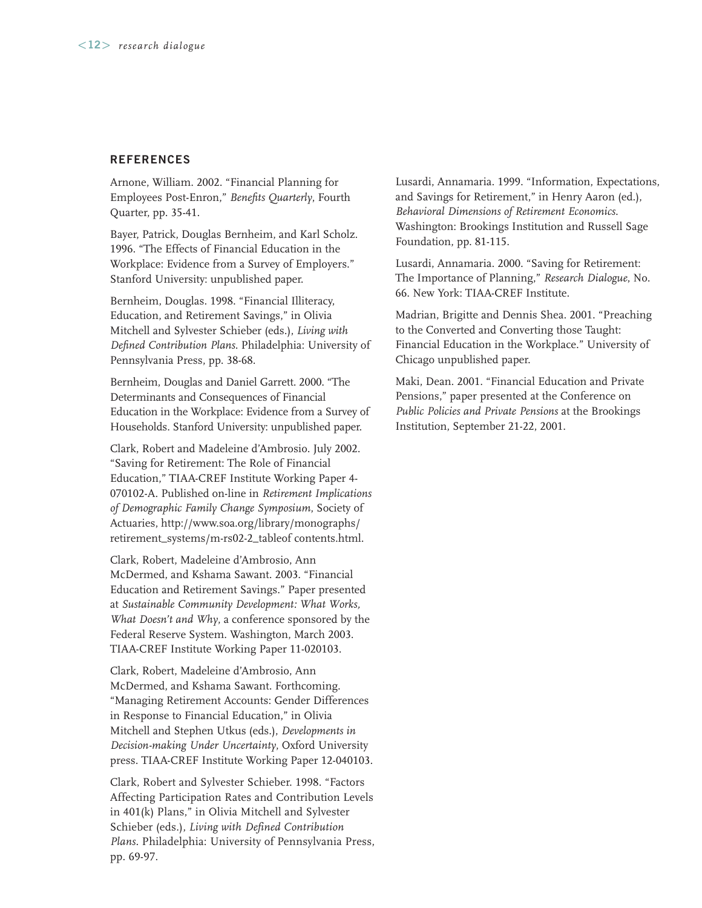#### **REFERENCES**

Arnone, William. 2002. "Financial Planning for Employees Post-Enron," *Benefits Quarterly*, Fourth Quarter, pp. 35-41.

Bayer, Patrick, Douglas Bernheim, and Karl Scholz. 1996. "The Effects of Financial Education in the Workplace: Evidence from a Survey of Employers." Stanford University: unpublished paper.

Bernheim, Douglas. 1998. "Financial Illiteracy, Education, and Retirement Savings," in Olivia Mitchell and Sylvester Schieber (eds.), *Living with Defined Contribution Plans*. Philadelphia: University of Pennsylvania Press, pp. 38-68.

Bernheim, Douglas and Daniel Garrett. 2000. "The Determinants and Consequences of Financial Education in the Workplace: Evidence from a Survey of Households. Stanford University: unpublished paper.

Clark, Robert and Madeleine d'Ambrosio. July 2002. "Saving for Retirement: The Role of Financial Education," TIAA-CREF Institute Working Paper 4- 070102-A. Published on-line in *Retirement Implications of Demographic Family Change Symposium*, Society of Actuaries, http://www.soa.org/library/monographs/ retirement\_systems/m-rs02-2\_tableof contents.html.

Clark, Robert, Madeleine d'Ambrosio, Ann McDermed, and Kshama Sawant. 2003. "Financial Education and Retirement Savings." Paper presented at *Sustainable Community Development: What Works, What Doesn't and Why*, a conference sponsored by the Federal Reserve System. Washington, March 2003. TIAA-CREF Institute Working Paper 11-020103.

Clark, Robert, Madeleine d'Ambrosio, Ann McDermed, and Kshama Sawant. Forthcoming. "Managing Retirement Accounts: Gender Differences in Response to Financial Education," in Olivia Mitchell and Stephen Utkus (eds.), *Developments in Decision-making Under Uncertainty*, Oxford University press. TIAA-CREF Institute Working Paper 12-040103.

Clark, Robert and Sylvester Schieber. 1998. "Factors Affecting Participation Rates and Contribution Levels in 401(k) Plans," in Olivia Mitchell and Sylvester Schieber (eds.), *Living with Defined Contribution Plans*. Philadelphia: University of Pennsylvania Press, pp. 69-97.

Lusardi, Annamaria. 1999. "Information, Expectations, and Savings for Retirement," in Henry Aaron (ed.), *Behavioral Dimensions of Retirement Economics*. Washington: Brookings Institution and Russell Sage Foundation, pp. 81-115.

Lusardi, Annamaria. 2000. "Saving for Retirement: The Importance of Planning," *Research Dialogue*, No. 66. New York: TIAA-CREF Institute.

Madrian, Brigitte and Dennis Shea. 2001. "Preaching to the Converted and Converting those Taught: Financial Education in the Workplace." University of Chicago unpublished paper.

Maki, Dean. 2001. "Financial Education and Private Pensions," paper presented at the Conference on *Public Policies and Private Pensions* at the Brookings Institution, September 21-22, 2001.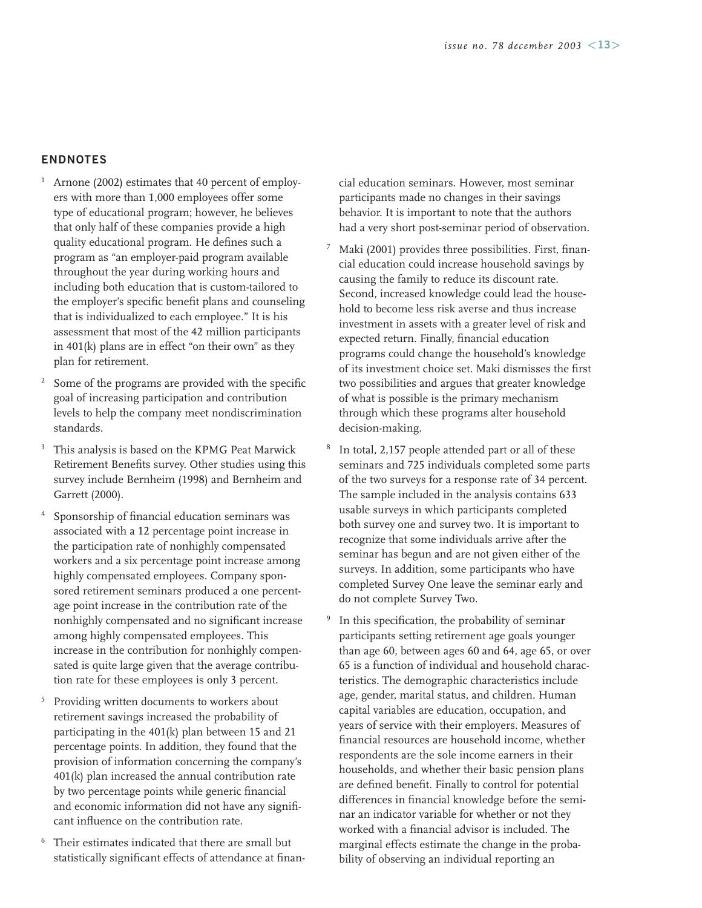#### **ENDNOTES**

- Arnone (2002) estimates that 40 percent of employers with more than 1,000 employees offer some type of educational program; however, he believes that only half of these companies provide a high quality educational program. He defines such a program as "an employer-paid program available throughout the year during working hours and including both education that is custom-tailored to the employer's specific benefit plans and counseling that is individualized to each employee." It is his assessment that most of the 42 million participants in 401(k) plans are in effect "on their own" as they plan for retirement.
- Some of the programs are provided with the specific goal of increasing participation and contribution levels to help the company meet nondiscrimination standards.
- <sup>3</sup> This analysis is based on the KPMG Peat Marwick Retirement Benefits survey. Other studies using this survey include Bernheim (1998) and Bernheim and Garrett (2000).
- Sponsorship of financial education seminars was associated with a 12 percentage point increase in the participation rate of nonhighly compensated workers and a six percentage point increase among highly compensated employees. Company sponsored retirement seminars produced a one percentage point increase in the contribution rate of the nonhighly compensated and no significant increase among highly compensated employees. This increase in the contribution for nonhighly compensated is quite large given that the average contribution rate for these employees is only 3 percent.
- <sup>5</sup> Providing written documents to workers about retirement savings increased the probability of participating in the 401(k) plan between 15 and 21 percentage points. In addition, they found that the provision of information concerning the company's 401(k) plan increased the annual contribution rate by two percentage points while generic financial and economic information did not have any significant influence on the contribution rate.
- <sup>6</sup> Their estimates indicated that there are small but statistically significant effects of attendance at finan-

cial education seminars. However, most seminar participants made no changes in their savings behavior. It is important to note that the authors had a very short post-seminar period of observation.

- <sup>7</sup> Maki (2001) provides three possibilities. First, financial education could increase household savings by causing the family to reduce its discount rate. Second, increased knowledge could lead the household to become less risk averse and thus increase investment in assets with a greater level of risk and expected return. Finally, financial education programs could change the household's knowledge of its investment choice set. Maki dismisses the first two possibilities and argues that greater knowledge of what is possible is the primary mechanism through which these programs alter household decision-making.
- <sup>8</sup> In total, 2,157 people attended part or all of these seminars and 725 individuals completed some parts of the two surveys for a response rate of 34 percent. The sample included in the analysis contains 633 usable surveys in which participants completed both survey one and survey two. It is important to recognize that some individuals arrive after the seminar has begun and are not given either of the surveys. In addition, some participants who have completed Survey One leave the seminar early and do not complete Survey Two.
- <sup>9</sup> In this specification, the probability of seminar participants setting retirement age goals younger than age 60, between ages 60 and 64, age 65, or over 65 is a function of individual and household characteristics. The demographic characteristics include age, gender, marital status, and children. Human capital variables are education, occupation, and years of service with their employers. Measures of financial resources are household income, whether respondents are the sole income earners in their households, and whether their basic pension plans are defined benefit. Finally to control for potential differences in financial knowledge before the seminar an indicator variable for whether or not they worked with a financial advisor is included. The marginal effects estimate the change in the probability of observing an individual reporting an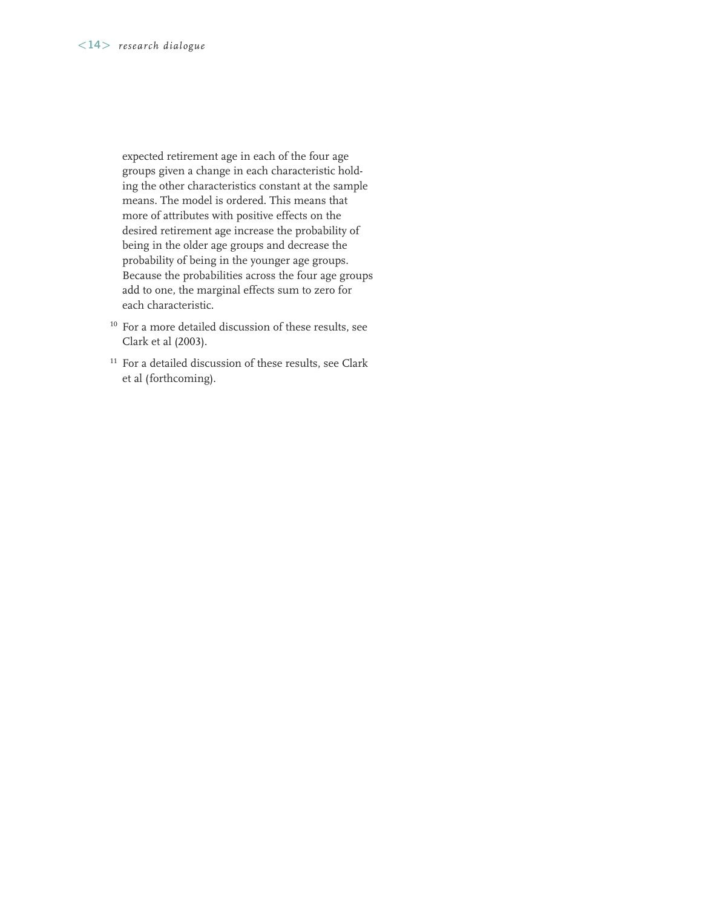expected retirement age in each of the four age groups given a change in each characteristic holding the other characteristics constant at the sample means. The model is ordered. This means that more of attributes with positive effects on the desired retirement age increase the probability of being in the older age groups and decrease the probability of being in the younger age groups. Because the probabilities across the four age groups add to one, the marginal effects sum to zero for each characteristic.

- <sup>10</sup> For a more detailed discussion of these results, see Clark et al (2003).
- $^{\rm 11}$  For a detailed discussion of these results, see Clark et al (forthcoming).